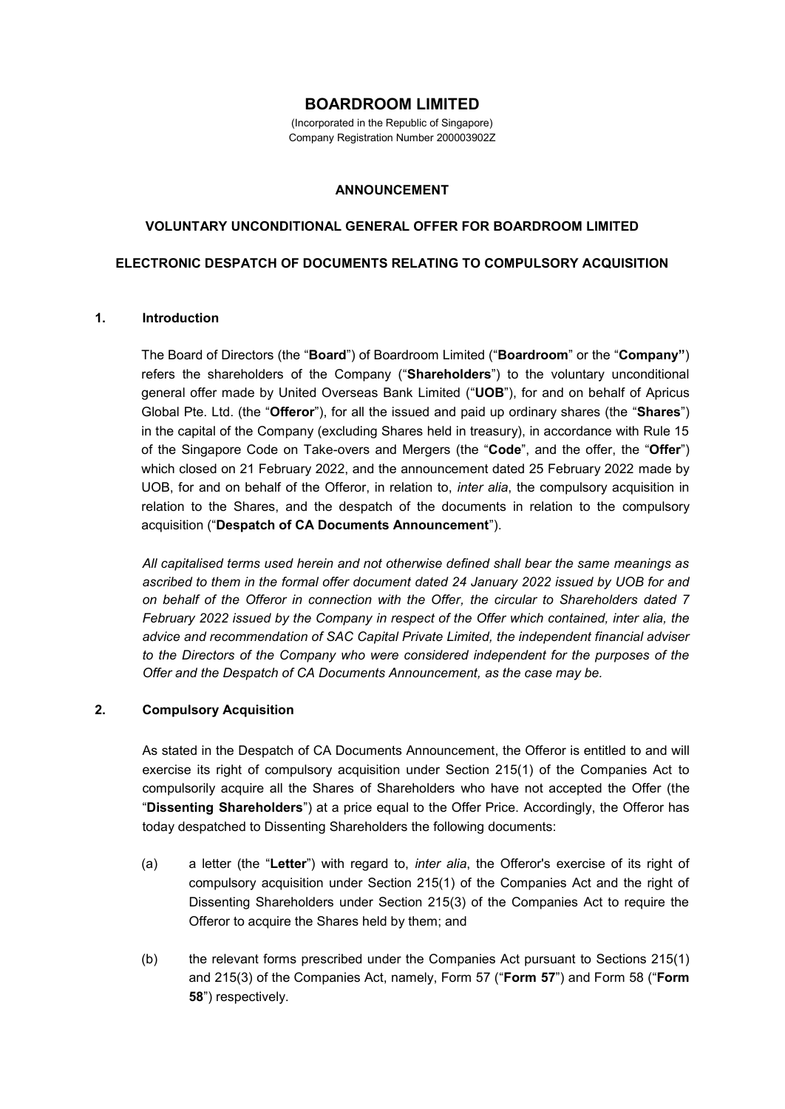# **BOARDROOM LIMITED**

(Incorporated in the Republic of Singapore) Company Registration Number 200003902Z

#### **ANNOUNCEMENT**

## **VOLUNTARY UNCONDITIONAL GENERAL OFFER FOR BOARDROOM LIMITED**

#### **ELECTRONIC DESPATCH OF DOCUMENTS RELATING TO COMPULSORY ACQUISITION**

#### **1. Introduction**

The Board of Directors (the "**Board**") of Boardroom Limited ("**Boardroom**" or the "**Company"**) refers the shareholders of the Company ("**Shareholders**") to the voluntary unconditional general offer made by United Overseas Bank Limited ("**UOB**"), for and on behalf of Apricus Global Pte. Ltd. (the "**Offeror**"), for all the issued and paid up ordinary shares (the "**Shares**") in the capital of the Company (excluding Shares held in treasury), in accordance with Rule 15 of the Singapore Code on Take-overs and Mergers (the "**Code**", and the offer, the "**Offer**") which closed on 21 February 2022, and the announcement dated 25 February 2022 made by UOB, for and on behalf of the Offeror, in relation to, *inter alia*, the compulsory acquisition in relation to the Shares, and the despatch of the documents in relation to the compulsory acquisition ("**Despatch of CA Documents Announcement**").

*All capitalised terms used herein and not otherwise defined shall bear the same meanings as ascribed to them in the formal offer document dated 24 January 2022 issued by UOB for and on behalf of the Offeror in connection with the Offer, the circular to Shareholders dated 7 February 2022 issued by the Company in respect of the Offer which contained, inter alia, the advice and recommendation of SAC Capital Private Limited, the independent financial adviser to the Directors of the Company who were considered independent for the purposes of the Offer and the Despatch of CA Documents Announcement, as the case may be.* 

## **2. Compulsory Acquisition**

As stated in the Despatch of CA Documents Announcement, the Offeror is entitled to and will exercise its right of compulsory acquisition under Section 215(1) of the Companies Act to compulsorily acquire all the Shares of Shareholders who have not accepted the Offer (the "**Dissenting Shareholders**") at a price equal to the Offer Price. Accordingly, the Offeror has today despatched to Dissenting Shareholders the following documents:

- (a) a letter (the "**Letter**") with regard to, *inter alia*, the Offeror's exercise of its right of compulsory acquisition under Section 215(1) of the Companies Act and the right of Dissenting Shareholders under Section 215(3) of the Companies Act to require the Offeror to acquire the Shares held by them; and
- (b) the relevant forms prescribed under the Companies Act pursuant to Sections 215(1) and 215(3) of the Companies Act, namely, Form 57 ("**Form 57**") and Form 58 ("**Form 58**") respectively.